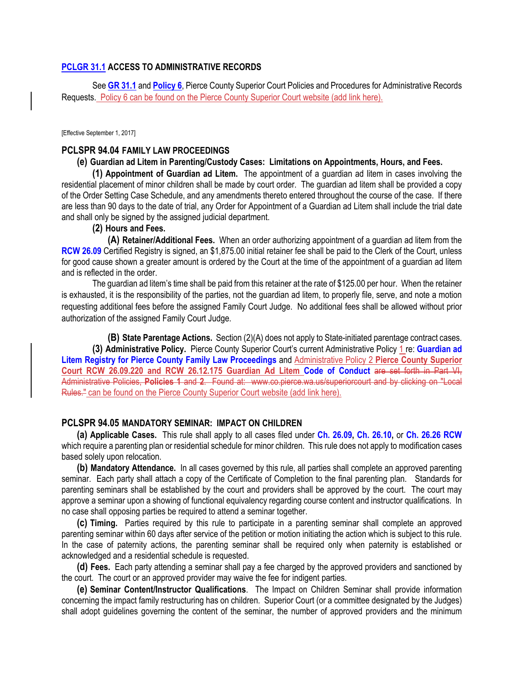#### **PCLGR 31.1 ACCESS TO ADMINISTRATIVE RECORDS**

See **GR 31.1** and **Policy 6**, Pierce County Superior Court Policies and Procedures for Administrative Records Requests. Policy 6 can be found on the Pierce County Superior Court website (add link here).

[Effective September 1, 2017]

#### **PCLSPR 94.04 FAMILY LAW PROCEEDINGS**

#### **(e) Guardian ad Litem in Parenting/Custody Cases: Limitations on Appointments, Hours, and Fees.**

**(1) Appointment of Guardian ad Litem.** The appointment of a guardian ad litem in cases involving the residential placement of minor children shall be made by court order. The guardian ad litem shall be provided a copy of the Order Setting Case Schedule, and any amendments thereto entered throughout the course of the case. If there are less than 90 days to the date of trial, any Order for Appointment of a Guardian ad Litem shall include the trial date and shall only be signed by the assigned judicial department.

### **(2) Hours and Fees.**

**(A) Retainer/Additional Fees.** When an order authorizing appointment of a guardian ad litem from the **RCW 26.09** Certified Registry is signed, an \$1,875.00 initial retainer fee shall be paid to the Clerk of the Court, unless for good cause shown a greater amount is ordered by the Court at the time of the appointment of a guardian ad litem and is reflected in the order.

 The guardian ad litem's time shall be paid from this retainer at the rate of \$125.00 per hour. When the retainer is exhausted, it is the responsibility of the parties, not the guardian ad litem, to properly file, serve, and note a motion requesting additional fees before the assigned Family Court Judge. No additional fees shall be allowed without prior authorization of the assigned Family Court Judge.

**(B) State Parentage Actions.** Section (2)(A) does not apply to State-initiated parentage contract cases. **(3) Administrative Policy.** Pierce County Superior Court's current Administrative Policy 1 re: **Guardian ad Litem Registry for Pierce County Family Law Proceedings** and Administrative Policy 2 **Pierce County Superior Court RCW 26.09.220 and RCW 26.12.175 Guardian Ad Litem Code of Conduct** are set forth in Part VI, Administrative Policies, **Policies 1** and **2**. Found at: www.co.pierce.wa.us/superiorcourt and by clicking on "Local Rules." can be found on the Pierce County Superior Court website (add link here).

#### **PCLSPR 94.05 MANDATORY SEMINAR: IMPACT ON CHILDREN**

**(a) Applicable Cases.** This rule shall apply to all cases filed under **Ch. 26.09, Ch. 26.10,** or **Ch. 26.26 RCW** which require a parenting plan or residential schedule for minor children. This rule does not apply to modification cases based solely upon relocation.

**(b) Mandatory Attendance.** In all cases governed by this rule, all parties shall complete an approved parenting seminar. Each party shall attach a copy of the Certificate of Completion to the final parenting plan. Standards for parenting seminars shall be established by the court and providers shall be approved by the court. The court may approve a seminar upon a showing of functional equivalency regarding course content and instructor qualifications. In no case shall opposing parties be required to attend a seminar together.

**(c) Timing.** Parties required by this rule to participate in a parenting seminar shall complete an approved parenting seminar within 60 days after service of the petition or motion initiating the action which is subject to this rule. In the case of paternity actions, the parenting seminar shall be required only when paternity is established or acknowledged and a residential schedule is requested.

**(d) Fees.** Each party attending a seminar shall pay a fee charged by the approved providers and sanctioned by the court. The court or an approved provider may waive the fee for indigent parties.

**(e) Seminar Content/Instructor Qualifications**. The Impact on Children Seminar shall provide information concerning the impact family restructuring has on children. Superior Court (or a committee designated by the Judges) shall adopt guidelines governing the content of the seminar, the number of approved providers and the minimum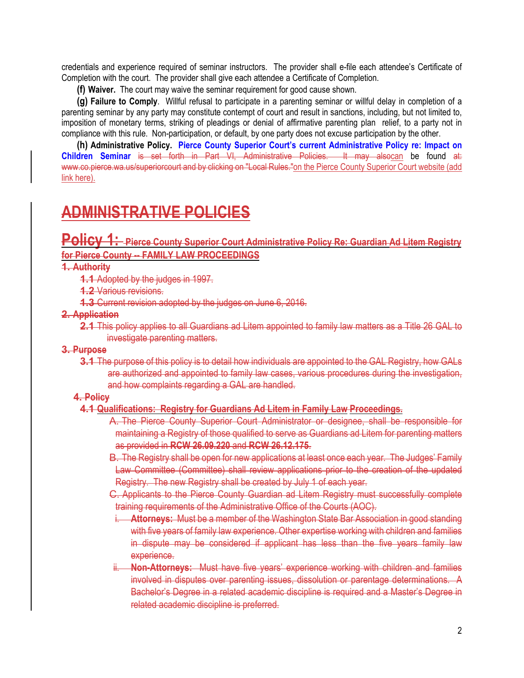credentials and experience required of seminar instructors. The provider shall e-file each attendee's Certificate of Completion with the court. The provider shall give each attendee a Certificate of Completion.

**(f) Waiver.** The court may waive the seminar requirement for good cause shown.

**(g) Failure to Comply**. Willful refusal to participate in a parenting seminar or willful delay in completion of a parenting seminar by any party may constitute contempt of court and result in sanctions, including, but not limited to, imposition of monetary terms, striking of pleadings or denial of affirmative parenting plan relief, to a party not in compliance with this rule. Non-participation, or default, by one party does not excuse participation by the other.

**(h) Administrative Policy. Pierce County Superior Court's current Administrative Policy re: Impact on Children Seminar** is set forth in Part VI, Administrative Policies. It may alsocan be found at: www.co.pierce.wa.us/superiorcourt and by clicking on "Local Rules."on the Pierce County Superior Court website (add link here).

# **ADMINISTRATIVE POLICIES**

## **1:** Pierce County Superior Court Administrative Policy Re: Guardian Ad Litem Registry **for Pierce County -- FAMILY LAW PROCEEDINGS**

#### **1. Authority**

**1.1** Adopted by the judges in 1997.

**1.2** Various revisions.

**1.3** Current revision adopted by the judges on June 6, 2016.

#### **2. Application**

**2.1** This policy applies to all Guardians ad Litem appointed to family law matters as a Title 26 GAL to investigate parenting matters.

#### **3. Purpose**

**3.1** The purpose of this policy is to detail how individuals are appointed to the GAL Registry, how GALs are authorized and appointed to family law cases, various procedures during the investigation, and how complaints regarding a GAL are handled.

#### **4. Policy**

**4.1 Qualifications: Registry for Guardians Ad Litem in Family Law Proceedings.** 

- A. The Pierce County Superior Court Administrator or designee, shall be responsible for maintaining a Registry of those qualified to serve as Guardians ad Litem for parenting matters as provided in **RCW 26.09.220** and **RCW 26.12.175**.
- B. The Registry shall be open for new applications at least once each year*.* The Judges' Family Law Committee (Committee) shall review applications prior to the creation of the updated Registry. The new Registry shall be created by July 1 of each year.
- C. Applicants to the Pierce County Guardian ad Litem Registry must successfully complete training requirements of the Administrative Office of the Courts (AOC).
	- i. **Attorneys:** Must be a member of the Washington State Bar Association in good standing with five years of family law experience. Other expertise working with children and families in dispute may be considered if applicant has less than the five years family law experience.
- ii. **Non-Attorneys:** Must have five years' experience working with children and families involved in disputes over parenting issues, dissolution or parentage determinations. A Bachelor's Degree in a related academic discipline is required and a Master's Degree in related academic discipline is preferred.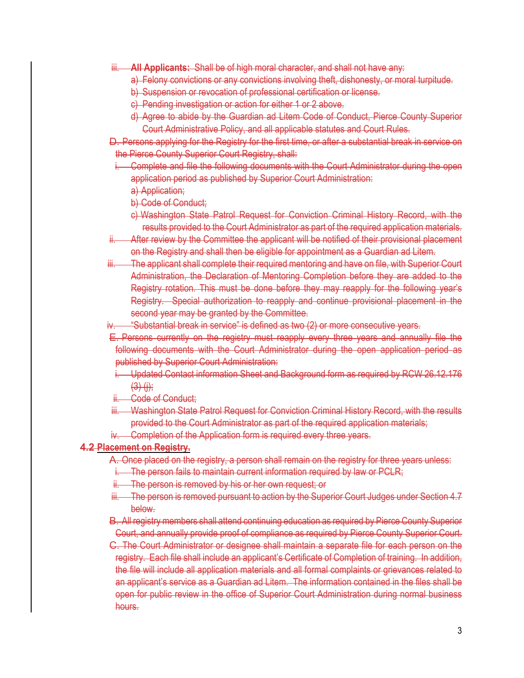- iii. **All Applicants:** Shall be of high moral character, and shall not have any:
	- a) Felony convictions or any convictions involving theft, dishonesty, or moral turpitude.
	- b) Suspension or revocation of professional certification or license.
	- c) Pending investigation or action for either 1 or 2 above.
	- d) Agree to abide by the Guardian ad Litem Code of Conduct, Pierce County Superior Court Administrative Policy, and all applicable statutes and Court Rules.
- D. Persons applying for the Registry for the first time, or after a substantial break in service on the Pierce County Superior Court Registry, shall:
	- i. Complete and file the following documents with the Court Administrator during the open application period as published by Superior Court Administration:
		- a) Application:
		- b) Code of Conduct;
		- c) Washington State Patrol Request for Conviction Criminal History Record, with the results provided to the Court Administrator as part of the required application materials.
- After review by the Committee the applicant will be notified of their provisional placement on the Registry and shall then be eligible for appointment as a Guardian ad Litem.
- iii. The applicant shall complete their required mentoring and have on file, with Superior Court Administration, the Declaration of Mentoring Completion before they are added to the Registry rotation. This must be done before they may reapply for the following year's Registry. Special authorization to reapply and continue provisional placement in the second year may be granted by the Committee.
- "Substantial break in service" is defined as two (2) or more consecutive years.
- E. Persons currently on the registry must reapply every three years and annually file the following documents with the Court Administrator during the open application period as published by Superior Court Administration:
	- i. Updated Contact information Sheet and Background form as required by RCW 26.12.176  $(3)$  (i);
- ii. Code of Conduct;
- iii. Washington State Patrol Request for Conviction Criminal History Record, with the results provided to the Court Administrator as part of the required application materials;
- iv. Completion of the Application form is required every three years.

## **4.2 Placement on Registry.**

- A. Once placed on the registry, a person shall remain on the registry for three years unless:
- i. The person fails to maintain current information required by law or PCLR;
- ii. The person is removed by his or her own request; or
- iii. The person is removed pursuant to action by the Superior Court Judges under Section 4.7 below.
- B. All registry members shall attend continuing education as required by Pierce County Superior Court, and annually provide proof of compliance as required by Pierce County Superior Court.

C. The Court Administrator or designee shall maintain a separate file for each person on the registry. Each file shall include an applicant's Certificate of Completion of training. In addition, the file will include all application materials and all formal complaints or grievances related to an applicant's service as a Guardian ad Litem. The information contained in the files shall be open for public review in the office of Superior Court Administration during normal business hours.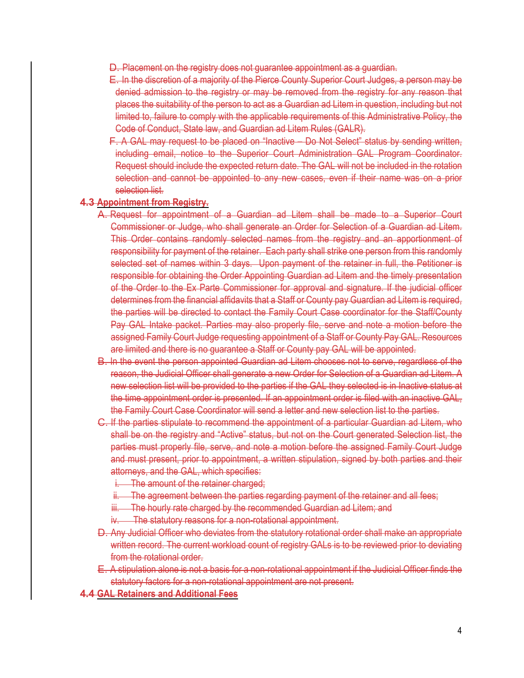- D. Placement on the registry does not guarantee appointment as a guardian.
- E. In the discretion of a majority of the Pierce County Superior Court Judges, a person may be denied admission to the registry or may be removed from the registry for any reason that places the suitability of the person to act as a Guardian ad Litem in question, including but not limited to, failure to comply with the applicable requirements of this Administrative Policy, the Code of Conduct, State law, and Guardian ad Litem Rules (GALR).
- F. A GAL may request to be placed on "Inactive Do Not Select" status by sending written, including email, notice to the Superior Court Administration GAL Program Coordinator. Request should include the expected return date. The GAL will not be included in the rotation selection and cannot be appointed to any new cases, even if their name was on a prior selection list.

#### **4.3 Appointment from Registry.**

- A. Request for appointment of a Guardian ad Litem shall be made to a Superior Court Commissioner or Judge, who shall generate an Order for Selection of a Guardian ad Litem. This Order contains randomly selected names from the registry and an apportionment of responsibility for payment of the retainer. Each party shall strike one person from this randomly selected set of names within 3 days. Upon payment of the retainer in full, the Petitioner is responsible for obtaining the Order Appointing Guardian ad Litem and the timely presentation of the Order to the Ex Parte Commissioner for approval and signature. If the judicial officer determines from the financial affidavits that a Staff or County pay Guardian ad Litem is required, the parties will be directed to contact the Family Court Case coordinator for the Staff/County Pay GAL Intake packet. Parties may also properly file, serve and note a motion before the assigned Family Court Judge requesting appointment of a Staff or County Pay GAL. Resources are limited and there is no guarantee a Staff or County pay GAL will be appointed.
- B. In the event the person appointed Guardian ad Litem chooses not to serve, regardless of the reason, the Judicial Officer shall generate a new Order for Selection of a Guardian ad Litem. A new selection list will be provided to the parties if the GAL they selected is in Inactive status at the time appointment order is presented. If an appointment order is filed with an inactive GAL, the Family Court Case Coordinator will send a letter and new selection list to the parties.
- C. If the parties stipulate to recommend the appointment of a particular Guardian ad Litem, who shall be on the registry and "Active" status, but not on the Court generated Selection list, the parties must properly file, serve, and note a motion before the assigned Family Court Judge and must present, prior to appointment, a written stipulation, signed by both parties and their attorneys, and the GAL, which specifies:
	- i. The amount of the retainer charged;
	- ii. The agreement between the parties regarding payment of the retainer and all fees;
	- iii. The hourly rate charged by the recommended Guardian ad Litem; and
	- iv. The statutory reasons for a non-rotational appointment.
- D. Any Judicial Officer who deviates from the statutory rotational order shall make an appropriate written record. The current workload count of registry GALs is to be reviewed prior to deviating from the rotational order.
- E. A stipulation alone is not a basis for a non-rotational appointment if the Judicial Officer finds the statutory factors for a non-rotational appointment are not present.
- **4.4 GAL Retainers and Additional Fees**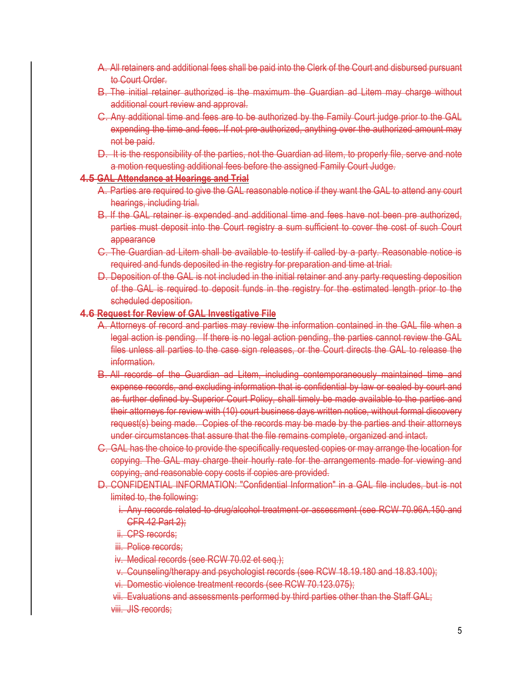- A. All retainers and additional fees shall be paid into the Clerk of the Court and disbursed pursuant to Court Order.
- B. The initial retainer authorized is the maximum the Guardian ad Litem may charge without additional court review and approval.
- C. Any additional time and fees are to be authorized by the Family Court judge prior to the GAL expending the time and fees. If not pre-authorized, anything over the authorized amount may not be paid.
- D. It is the responsibility of the parties, not the Guardian ad litem, to properly file, serve and note a motion requesting additional fees before the assigned Family Court Judge.

### **4.5 GAL Attendance at Hearings and Trial**

- A. Parties are required to give the GAL reasonable notice if they want the GAL to attend any court hearings, including trial.
- B. If the GAL retainer is expended and additional time and fees have not been pre authorized, parties must deposit into the Court registry a sum sufficient to cover the cost of such Court appearance
- C. The Guardian ad Litem shall be available to testify if called by a party. Reasonable notice is required and funds deposited in the registry for preparation and time at trial.
- D. Deposition of the GAL is not included in the initial retainer and any party requesting deposition of the GAL is required to deposit funds in the registry for the estimated length prior to the scheduled deposition.

#### **4.6 Request for Review of GAL Investigative File**

- A. Attorneys of record and parties may review the information contained in the GAL file when a legal action is pending. If there is no legal action pending, the parties cannot review the GAL files unless all parties to the case sign releases, or the Court directs the GAL to release the information.
- B. All records of the Guardian ad Litem, including contemporaneously maintained time and expense records, and excluding information that is confidential by law or sealed by court and as further defined by Superior Court Policy, shall timely be made available to the parties and their attorneys for review with (10) court business days written notice, without formal discovery request(s) being made. Copies of the records may be made by the parties and their attorneys under circumstances that assure that the file remains complete, organized and intact.
- C. GAL has the choice to provide the specifically requested copies or may arrange the location for copying. The GAL may charge their hourly rate for the arrangements made for viewing and copying, and reasonable copy costs if copies are provided.
- D. CONFIDENTIAL INFORMATION: "Confidential Information" in a GAL file includes, but is not limited to, the following:
	- i. Any records related to drug/alcohol treatment or assessment (see RCW 70.96A.150 and CFR 42 Part 2);
	- ii. CPS records;
	- iii. Police records:
	- iv. Medical records (see RCW 70.02 et seq.);
	- v. Counseling/therapy and psychologist records (see RCW 18.19.180 and 18.83.100);
	- vi. Domestic violence treatment records (see RCW 70.123.075);
	- vii. Evaluations and assessments performed by third parties other than the Staff GAL; viii. JIS records: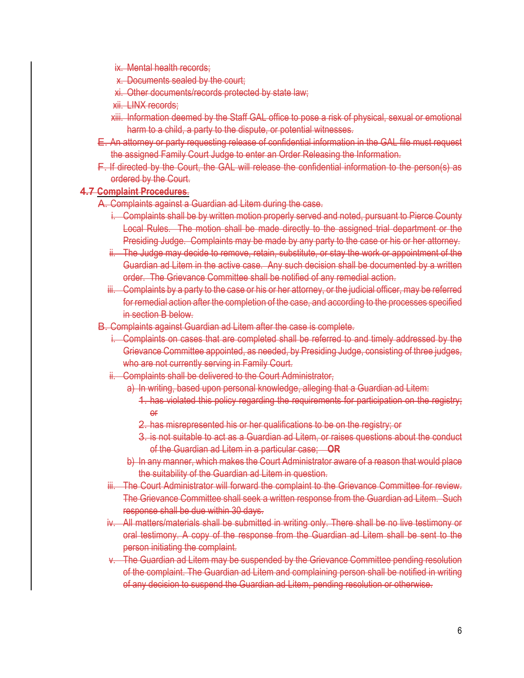- ix. Mental health records:
- x. Documents sealed by the court;
- xi. Other documents/records protected by state law;
- xii. LINX records;
- xiii. Information deemed by the Staff GAL office to pose a risk of physical, sexual or emotional harm to a child, a party to the dispute, or potential witnesses.
- E. An attorney or party requesting release of confidential information in the GAL file must request the assigned Family Court Judge to enter an Order Releasing the Information.
- F. If directed by the Court, the GAL will release the confidential information to the person(s) as ordered by the Court.

## **4.7 Complaint Procedures**.

- A. Complaints against a Guardian ad Litem during the case.
	- i. Complaints shall be by written motion properly served and noted, pursuant to Pierce County Local Rules. The motion shall be made directly to the assigned trial department or the Presiding Judge. Complaints may be made by any party to the case or his or her attorney.
	- ii. The Judge may decide to remove, retain, substitute, or stay the work or appointment of the Guardian ad Litem in the active case. Any such decision shall be documented by a written order. The Grievance Committee shall be notified of any remedial action.
	- iii. Complaints by a party to the case or his or her attorney, or the judicial officer, may be referred for remedial action after the completion of the case, and according to the processes specified in section B below.
- B. Complaints against Guardian ad Litem after the case is complete.
	- i. Complaints on cases that are completed shall be referred to and timely addressed by the Grievance Committee appointed, as needed, by Presiding Judge, consisting of three judges, who are not currently serving in Family Court.
	- ii. Complaints shall be delivered to the Court Administrator,
		- a) In writing, based upon personal knowledge, alleging that a Guardian ad Litem:
			- 1. has violated this policy regarding the requirements for participation on the registry; or
			- 2. has misrepresented his or her qualifications to be on the registry; or
			- 3. is not suitable to act as a Guardian ad Litem, or raises questions about the conduct of the Guardian ad Litem in a particular case; **OR**
		- b) In any manner, which makes the Court Administrator aware of a reason that would place the suitability of the Guardian ad Litem in question.
	- iii. The Court Administrator will forward the complaint to the Grievance Committee for review. The Grievance Committee shall seek a written response from the Guardian ad Litem. Such response shall be due within 30 days.
	- iv. All matters/materials shall be submitted in writing only. There shall be no live testimony or oral testimony. A copy of the response from the Guardian ad Litem shall be sent to the person initiating the complaint.
	- v. The Guardian ad Litem may be suspended by the Grievance Committee pending resolution of the complaint. The Guardian ad Litem and complaining person shall be notified in writing of any decision to suspend the Guardian ad Litem, pending resolution or otherwise.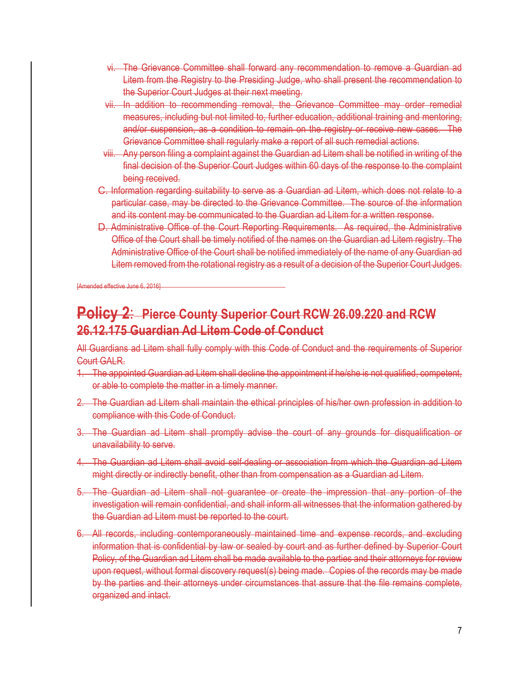- vi. The Grievance Committee shall forward any recommendation to remove a Guardian ad Litem from the Registry to the Presiding Judge, who shall present the recommendation to the Superior Court Judges at their next meeting.
- vii. In addition to recommending removal, the Grievance Committee may order remedial measures, including but not limited to, further education, additional training and mentoring, and/or suspension, as a condition to remain on the registry or receive new cases. The Grievance Committee shall regularly make a report of all such remedial actions.
- viii. Any person filing a complaint against the Guardian ad Litem shall be notified in writing of the final decision of the Superior Court Judges within 60 days of the response to the complaint being received.
- C. Information regarding suitability to serve as a Guardian ad Litem, which does not relate to a particular case, may be directed to the Grievance Committee. The source of the information and its content may be communicated to the Guardian ad Litem for a written response.
- D. Administrative Office of the Court Reporting Requirements. As required, the Administrative Office of the Court shall be timely notified of the names on the Guardian ad Litem registry. The Administrative Office of the Court shall be notified immediately of the name of any Guardian ad Litem removed from the rotational registry as a result of a decision of the Superior Court Judges.

[Amended effective June 6, 2016]

## **Policy 2**: **Pierce County Superior Court RCW 26.09.220 and RCW 26.12.175 Guardian Ad Litem Code of Conduct**

All Guardians ad Litem shall fully comply with this Code of Conduct and the requirements of Superior Court GALR.

- 1. The appointed Guardian ad Litem shall decline the appointment if he/she is not qualified, competent, or able to complete the matter in a timely manner.
- 2. The Guardian ad Litem shall maintain the ethical principles of his/her own profession in addition to compliance with this Code of Conduct.
- 3. The Guardian ad Litem shall promptly advise the court of any grounds for disqualification or unavailability to serve.
- 4. The Guardian ad Litem shall avoid self-dealing or association from which the Guardian ad Litem might directly or indirectly benefit, other than from compensation as a Guardian ad Litem.
- 5. The Guardian ad Litem shall not guarantee or create the impression that any portion of the investigation will remain confidential, and shall inform all witnesses that the information gathered by the Guardian ad Litem must be reported to the court.
- 6. All records, including contemporaneously maintained time and expense records, and excluding information that is confidential by law or sealed by court and as further defined by Superior Court Policy, of the Guardian ad Litem shall be made available to the parties and their attorneys for review upon request, without formal discovery request(s) being made. Copies of the records may be made by the parties and their attorneys under circumstances that assure that the file remains complete, organized and intact.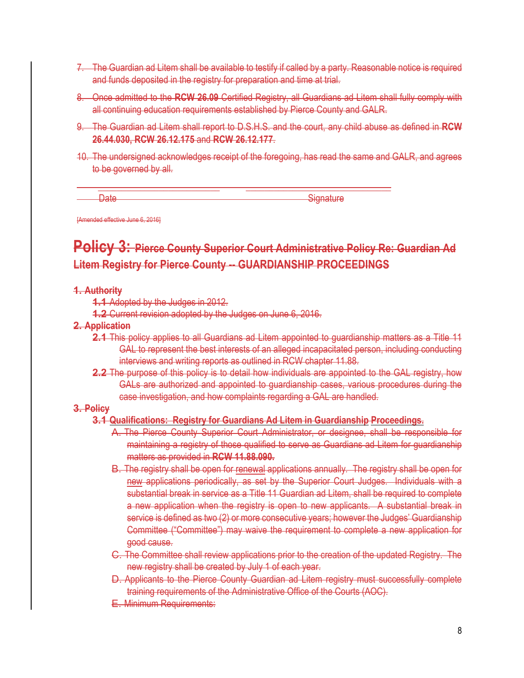- 7. The Guardian ad Litem shall be available to testify if called by a party. Reasonable notice is required and funds deposited in the registry for preparation and time at trial.
- 8. Once admitted to the **RCW 26.09** Certified Registry, all Guardians ad Litem shall fully comply with all continuing education requirements established by Pierce County and GALR.
- 9. The Guardian ad Litem shall report to D.S.H.S. and the court, any child abuse as defined in **RCW 26.44.030, RCW 26.12.175** and **RCW 26.12.177**.
- 10. The undersigned acknowledges receipt of the foregoing, has read the same and GALR, and agrees to be governed by all.

\_\_\_\_\_\_\_\_\_\_\_\_\_\_\_\_\_\_\_\_\_\_\_\_\_\_ \_\_\_\_\_\_\_\_\_\_\_\_\_\_\_\_\_\_\_\_\_\_\_\_\_\_\_\_\_\_\_

Date Signature

[Amended effective June 6, 2016]

## **Policy 3: Pierce County Superior Court Administrative Policy Re: Guardian Ad Litem Registry for Pierce County -- GUARDIANSHIP PROCEEDINGS**

### **1. Authority**

- **1.1** Adopted by the Judges in 2012.
- **1.2** Current revision adopted by the Judges on June 6, 2016.

## **2. Application**

- **2.1** This policy applies to all Guardians ad Litem appointed to guardianship matters as a Title 11 GAL to represent the best interests of an alleged incapacitated person, including conducting interviews and writing reports as outlined in RCW chapter 11.88.
- **2.2** The purpose of this policy is to detail how individuals are appointed to the GAL registry, how GALs are authorized and appointed to guardianship cases, various procedures during the case investigation, and how complaints regarding a GAL are handled.

### **3. Policy**

## **3.1 Qualifications: Registry for Guardians Ad Litem in Guardianship Proceedings.**

- A. The Pierce County Superior Court Administrator, or designee, shall be responsible for maintaining a registry of those qualified to serve as Guardians ad Litem for guardianship matters as provided in **RCW 11.88.090.**
- B. The registry shall be open for renewal applications annually*.* The registry shall be open for new applications periodically, as set by the Superior Court Judges. Individuals with a substantial break in service as a Title 11 Guardian ad Litem, shall be required to complete a new application when the registry is open to new applicants. A substantial break in service is defined as two (2) or more consecutive years; however the Judges' Guardianship Committee ("Committee") may waive the requirement to complete a new application for good cause.
- C. The Committee shall review applications prior to the creation of the updated Registry. The new registry shall be created by July 1 of each year.
- D. Applicants to the Pierce County Guardian ad Litem registry must successfully complete training requirements of the Administrative Office of the Courts (AOC).
- E. Minimum Requirements: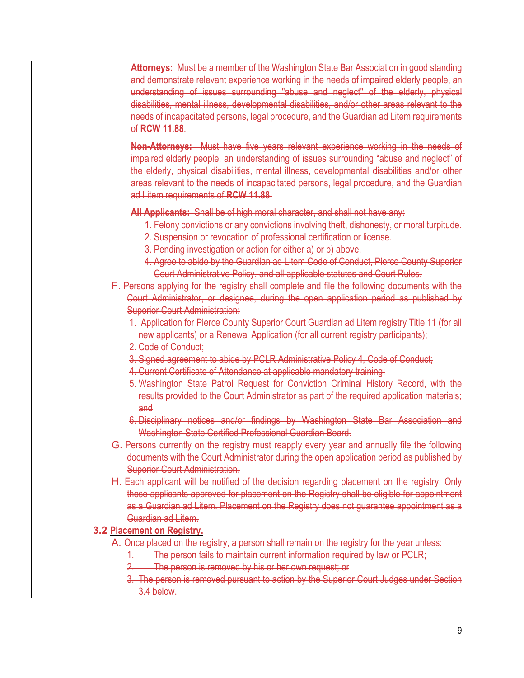**Attorneys:** Must be a member of the Washington State Bar Association in good standing and demonstrate relevant experience working in the needs of impaired elderly people, an understanding of issues surrounding "abuse and neglect" of the elderly, physical disabilities, mental illness, developmental disabilities, and/or other areas relevant to the needs of incapacitated persons, legal procedure, and the Guardian ad Litem requirements of **RCW 11.88**.

**Non-Attorneys:** Must have five years relevant experience working in the needs of impaired elderly people, an understanding of issues surrounding "abuse and neglect" of the elderly, physical disabilities, mental illness, developmental disabilities and/or other areas relevant to the needs of incapacitated persons, legal procedure, and the Guardian ad Litem requirements of **RCW 11.88**.

**All Applicants:** Shall be of high moral character, and shall not have any:

- 1. Felony convictions or any convictions involving theft, dishonesty, or moral turpitude.
- 2. Suspension or revocation of professional certification or license.
- 3. Pending investigation or action for either a) or b) above.
- 4. Agree to abide by the Guardian ad Litem Code of Conduct, Pierce County Superior Court Administrative Policy, and all applicable statutes and Court Rules.
- F. Persons applying for the registry shall complete and file the following documents with the Court Administrator, or designee, during the open application period as published by Superior Court Administration:
	- 1. Application for Pierce County Superior Court Guardian ad Litem registry Title 11 (for all new applicants) or a Renewal Application (for all current registry participants);
	- 2. Code of Conduct;
	- 3. Signed agreement to abide by PCLR Administrative Policy 4, Code of Conduct;
	- 4. Current Certificate of Attendance at applicable mandatory training;
	- 5. Washington State Patrol Request for Conviction Criminal History Record, with the results provided to the Court Administrator as part of the required application materials; and
	- 6. Disciplinary notices and/or findings by Washington State Bar Association and Washington State Certified Professional Guardian Board.
- G. Persons currently on the registry must reapply every year and annually file the following documents with the Court Administrator during the open application period as published by Superior Court Administration.
- H. Each applicant will be notified of the decision regarding placement on the registry. Only those applicants approved for placement on the Registry shall be eligible for appointment as a Guardian ad Litem. Placement on the Registry does not guarantee appointment as a Guardian ad Litem.

#### **3.2 Placement on Registry.**

- A. Once placed on the registry, a person shall remain on the registry for the year unless:
	- The person fails to maintain current information required by law or PCLR;
	- The person is removed by his or her own request; or
	- 3. The person is removed pursuant to action by the Superior Court Judges under Section 3.4 below.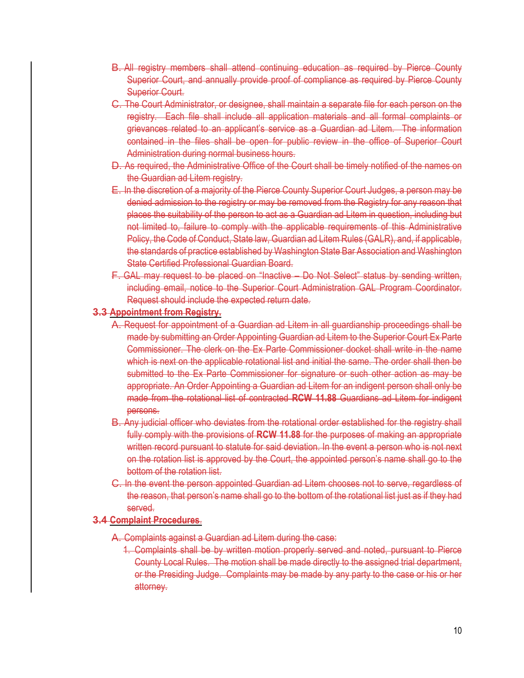- B. All registry members shall attend continuing education as required by Pierce County Superior Court, and annually provide proof of compliance as required by Pierce County **Superior Court.**
- C. The Court Administrator, or designee, shall maintain a separate file for each person on the registry. Each file shall include all application materials and all formal complaints or grievances related to an applicant's service as a Guardian ad Litem. The information contained in the files shall be open for public review in the office of Superior Court Administration during normal business hours.
- D. As required, the Administrative Office of the Court shall be timely notified of the names on the Guardian ad Litem registry.
- E. In the discretion of a majority of the Pierce County Superior Court Judges, a person may be denied admission to the registry or may be removed from the Registry for any reason that places the suitability of the person to act as a Guardian ad Litem in question, including but not limited to, failure to comply with the applicable requirements of this Administrative Policy, the Code of Conduct, State law, Guardian ad Litem Rules (GALR), and, if applicable, the standards of practice established by Washington State Bar Association and Washington State Certified Professional Guardian Board.
- F. GAL may request to be placed on "Inactive Do Not Select" status by sending written, including email, notice to the Superior Court Administration GAL Program Coordinator. Request should include the expected return date.

### **3.3 Appointment from Registry.**

- A. Request for appointment of a Guardian ad Litem in all guardianship proceedings shall be made by submitting an Order Appointing Guardian ad Litem to the Superior Court Ex Parte Commissioner. The clerk on the Ex Parte Commissioner docket shall write in the name which is next on the applicable rotational list and initial the same. The order shall then be submitted to the Ex Parte Commissioner for signature or such other action as may be appropriate. An Order Appointing a Guardian ad Litem for an indigent person shall only be made from the rotational list of contracted **RCW 11.88** Guardians ad Litem for indigent persons.
- B. Any judicial officer who deviates from the rotational order established for the registry shall fully comply with the provisions of **RCW 11.88** for the purposes of making an appropriate written record pursuant to statute for said deviation. In the event a person who is not next on the rotation list is approved by the Court, the appointed person's name shall go to the bottom of the rotation list.
- C. In the event the person appointed Guardian ad Litem chooses not to serve, regardless of the reason, that person's name shall go to the bottom of the rotational list just as if they had served.

## **3.4 Complaint Procedures**.

- A. Complaints against a Guardian ad Litem during the case:
	- 1. Complaints shall be by written motion properly served and noted, pursuant to Pierce County Local Rules. The motion shall be made directly to the assigned trial department, or the Presiding Judge. Complaints may be made by any party to the case or his or her attorney.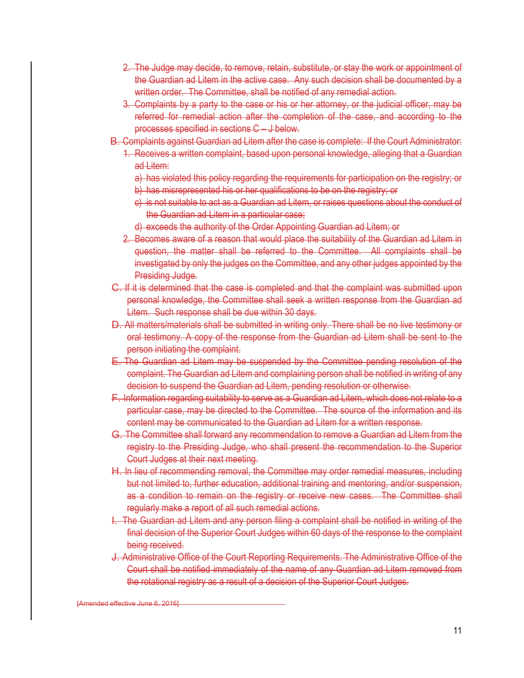- 2. The Judge may decide, to remove, retain, substitute, or stay the work or appointment of the Guardian ad Litem in the active case. Any such decision shall be documented by a written order. The Committee, shall be notified of any remedial action.
- 3. Complaints by a party to the case or his or her attorney, or the judicial officer, may be referred for remedial action after the completion of the case, and according to the processes specified in sections C – J below.
- B. Complaints against Guardian ad Litem after the case is complete: If the Court Administrator:
	- 1. Receives a written complaint, based upon personal knowledge, alleging that a Guardian ad Litem:
		- a) has violated this policy regarding the requirements for participation on the registry; or
		- b) has misrepresented his or her qualifications to be on the registry; or
		- c) is not suitable to act as a Guardian ad Litem, or raises questions about the conduct of the Guardian ad Litem in a particular case;
		- d) exceeds the authority of the Order Appointing Guardian ad Litem; or
	- 2. Becomes aware of a reason that would place the suitability of the Guardian ad Litem in question, the matter shall be referred to the Committee. All complaints shall be investigated by only the judges on the Committee, and any other judges appointed by the Presiding Judge.
- C. If it is determined that the case is completed and that the complaint was submitted upon personal knowledge, the Committee shall seek a written response from the Guardian ad Litem. Such response shall be due within 30 days.
- D. All matters/materials shall be submitted in writing only. There shall be no live testimony or oral testimony. A copy of the response from the Guardian ad Litem shall be sent to the person initiating the complaint.
- E. The Guardian ad Litem may be suspended by the Committee pending resolution of the complaint. The Guardian ad Litem and complaining person shall be notified in writing of any decision to suspend the Guardian ad Litem, pending resolution or otherwise.
- F. Information regarding suitability to serve as a Guardian ad Litem, which does not relate to a particular case, may be directed to the Committee. The source of the information and its content may be communicated to the Guardian ad Litem for a written response.
- G. The Committee shall forward any recommendation to remove a Guardian ad Litem from the registry to the Presiding Judge, who shall present the recommendation to the Superior Court Judges at their next meeting.
- H. In lieu of recommending removal, the Committee may order remedial measures, including but not limited to, further education, additional training and mentoring, and/or suspension, as a condition to remain on the registry or receive new cases. The Committee shall regularly make a report of all such remedial actions.
- I. The Guardian ad Litem and any person filing a complaint shall be notified in writing of the final decision of the Superior Court Judges within 60 days of the response to the complaint being received.
- J. Administrative Office of the Court Reporting Requirements. The Administrative Office of the Court shall be notified immediately of the name of any Guardian ad Litem removed from the rotational registry as a result of a decision of the Superior Court Judges.

[Amended effective June 6, 2016]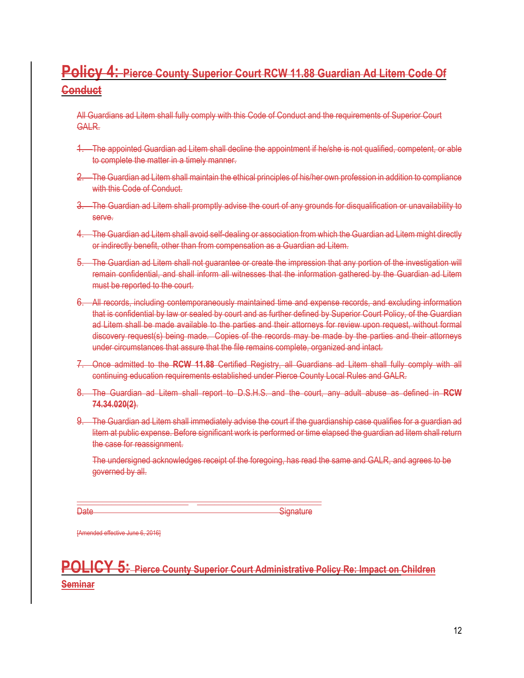# **Policy 4: Pierce County Superior Court RCW 11.88 Guardian Ad Litem Code Of Conduct**

All Guardians ad Litem shall fully comply with this Code of Conduct and the requirements of Superior Court GALR.

- 1. The appointed Guardian ad Litem shall decline the appointment if he/she is not qualified, competent, or able to complete the matter in a timely manner.
- 2. The Guardian ad Litem shall maintain the ethical principles of his/her own profession in addition to compliance with this Code of Conduct.
- 3. The Guardian ad Litem shall promptly advise the court of any grounds for disqualification or unavailability to serve.
- 4. The Guardian ad Litem shall avoid self-dealing or association from which the Guardian ad Litem might directly or indirectly benefit, other than from compensation as a Guardian ad Litem.
- 5. The Guardian ad Litem shall not guarantee or create the impression that any portion of the investigation will remain confidential, and shall inform all witnesses that the information gathered by the Guardian ad Litem must be reported to the court.
- 6. All records, including contemporaneously maintained time and expense records, and excluding information that is confidential by law or sealed by court and as further defined by Superior Court Policy, of the Guardian ad Litem shall be made available to the parties and their attorneys for review upon request, without formal discovery request(s) being made. Copies of the records may be made by the parties and their attorneys under circumstances that assure that the file remains complete, organized and intact.
- 7. Once admitted to the **RCW 11.88** Certified Registry, all Guardians ad Litem shall fully comply with all continuing education requirements established under Pierce County Local Rules and GALR.
- 8. The Guardian ad Litem shall report to D.S.H.S. and the court, any adult abuse as defined in **RCW 74.34.020(2)**.
- 9. The Guardian ad Litem shall immediately advise the court if the guardianship case qualifies for a guardian ad litem at public expense. Before significant work is performed or time elapsed the guardian ad litem shall return the case for reassignment.

The undersigned acknowledges receipt of the foregoing, has read the same and GALR, and agrees to be governed by all.

Date Signature

[Amended effective June 6, 2016]

| POLICY 5: Pierce County Superior Court Administrative Policy Re: Impact on Children |  |  |  |  |  |  |  |
|-------------------------------------------------------------------------------------|--|--|--|--|--|--|--|
| <b>Seminar</b>                                                                      |  |  |  |  |  |  |  |

\_\_\_\_\_\_\_\_\_\_\_\_\_\_\_\_\_\_\_\_\_\_\_\_\_\_ \_\_\_\_\_\_\_\_\_\_\_\_\_\_\_\_\_\_\_\_\_\_\_\_\_\_\_\_\_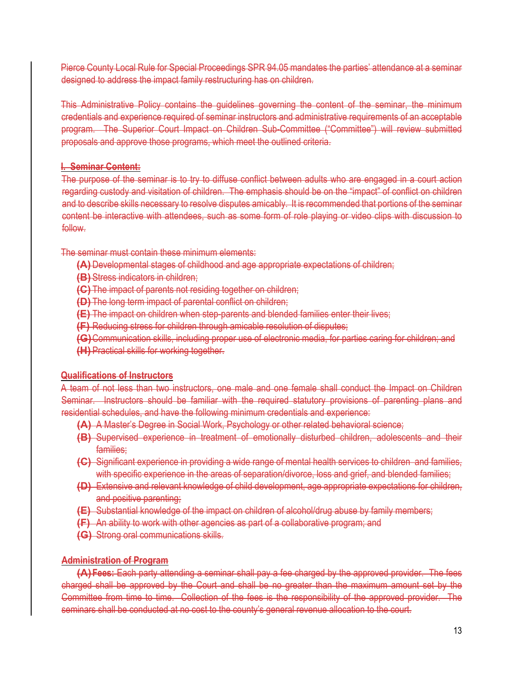Pierce County Local Rule for Special Proceedings SPR 94.05 mandates the parties' attendance at a seminar designed to address the impact family restructuring has on children.

This Administrative Policy contains the guidelines governing the content of the seminar, the minimum credentials and experience required of seminar instructors and administrative requirements of an acceptable program. The Superior Court Impact on Children Sub-Committee ("Committee") will review submitted proposals and approve those programs, which meet the outlined criteria.

### **I. Seminar Content:**

The purpose of the seminar is to try to diffuse conflict between adults who are engaged in a court action regarding custody and visitation of children. The emphasis should be on the "impact" of conflict on children and to describe skills necessary to resolve disputes amicably. It is recommended that portions of the seminar content be interactive with attendees, such as some form of role playing or video clips with discussion to follow.

The seminar must contain these minimum elements:

- **(A)**Developmental stages of childhood and age appropriate expectations of children;
- **(B)** Stress indicators in children;
- **(C)** The impact of parents not residing together on children;
- **(D)** The long term impact of parental conflict on children;
- **(E)** The impact on children when step-parents and blended families enter their lives;
- **(F)** Reducing stress for children through amicable resolution of disputes;
- **(G)**Communication skills, including proper use of electronic media, for parties caring for children; and
- **(H)** Practical skills for working together.

### **Qualifications of Instructors**

A team of not less than two instructors, one male and one female shall conduct the Impact on Children Seminar. Instructors should be familiar with the required statutory provisions of parenting plans and residential schedules, and have the following minimum credentials and experience:

- **(A)** A Master's Degree in Social Work, Psychology or other related behavioral science;
- **(B)** Supervised experience in treatment of emotionally disturbed children, adolescents and their families;
- **(C)** Significant experience in providing a wide range of mental health services to children and families, with specific experience in the areas of separation/divorce, loss and grief, and blended families;
- **(D)** Extensive and relevant knowledge of child development, age appropriate expectations for children, and positive parenting;
- **(E)** Substantial knowledge of the impact on children of alcohol/drug abuse by family members;
- **(F)** An ability to work with other agencies as part of a collaborative program; and
- **(G)** Strong oral communications skills.

### **Administration of Program**

**(A)Fees:** Each party attending a seminar shall pay a fee charged by the approved provider. The fees charged shall be approved by the Court and shall be no greater than the maximum amount set by the Committee from time to time. Collection of the fees is the responsibility of the approved provider. The seminars shall be conducted at no cost to the county's general revenue allocation to the court.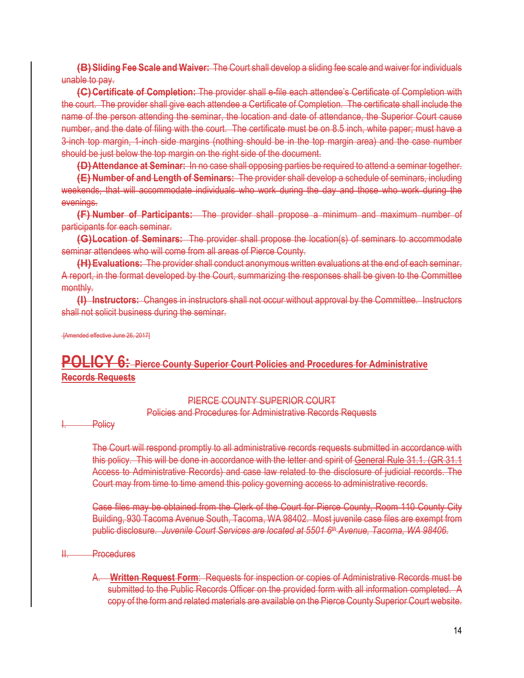**(B)Sliding Fee Scale and Waiver:** The Court shall develop a sliding fee scale and waiver for individuals unable to pay.

**(C)Certificate of Completion:** The provider shall e-file each attendee's Certificate of Completion with the court. The provider shall give each attendee a Certificate of Completion. The certificate shall include the name of the person attending the seminar, the location and date of attendance, the Superior Court cause number, and the date of filing with the court. The certificate must be on 8.5 inch, white paper; must have a 3-inch top margin, 1-inch side margins (nothing should be in the top margin area) and the case number should be just below the top margin on the right side of the document.

**(D)Attendance at Seminar:** In no case shall opposing parties be required to attend a seminar together.

**(E) Number of and Length of Seminars:** The provider shall develop a schedule of seminars, including weekends, that will accommodate individuals who work during the day and those who work during the evenings.

**(F) Number of Participants:** The provider shall propose a minimum and maximum number of participants for each seminar.

**(G)Location of Seminars:** The provider shall propose the location(s) of seminars to accommodate seminar attendees who will come from all areas of Pierce County.

**(H)Evaluations:** The provider shall conduct anonymous written evaluations at the end of each seminar. A report, in the format developed by the Court, summarizing the responses shall be given to the Committee monthly.

**(I) Instructors:** Changes in instructors shall not occur without approval by the Committee. Instructors shall not solicit business during the seminar.

#### [Amended effective June 26, 2017]

## **POLICY 6: Pierce County Superior Court Policies and Procedures for Administrative Records Requests**

#### PIERCE COUNTY SUPERIOR COURT

Policies and Procedures for Administrative Records Requests

Policy

The Court will respond promptly to all administrative records requests submitted in accordance with this policy. This will be done in accordance with the letter and spirit of General Rule 31.1. (GR 31.1 Access to Administrative Records) and case law related to the disclosure of judicial records. The Court may from time to time amend this policy governing access to administrative records.

Case files may be obtained from the Clerk of the Court for Pierce County, Room 110 County City Building, 930 Tacoma Avenue South, Tacoma, WA 98402. Most juvenile case files are exempt from public disclosure. *Juvenile Court Services are located at 5501 6th Avenue, Tacoma, WA 98406.* 

#### II. Procedures

A. **Written Request Form**: Requests for inspection or copies of Administrative Records must be submitted to the Public Records Officer on the provided form with all information completed. A copy of the form and related materials are available on the Pierce County Superior Court website.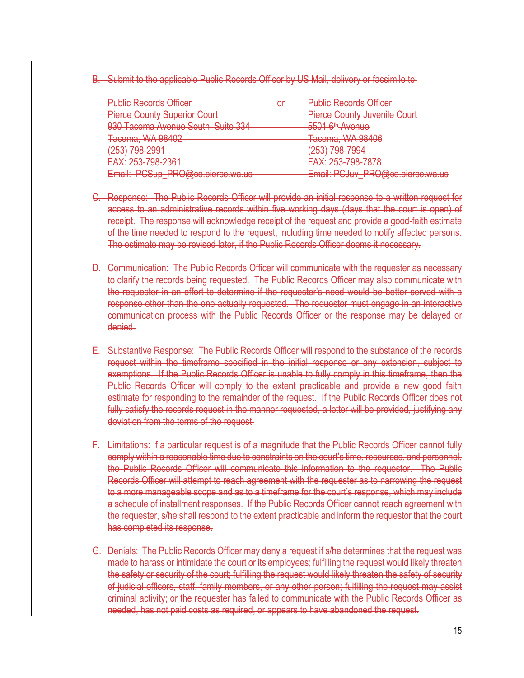B. Submit to the applicable Public Records Officer by US Mail, delivery or facsimile to:

| <b>Public Records Officer</b>                 | nr.<br>ஶ | <b>Public Records Officer</b>               |
|-----------------------------------------------|----------|---------------------------------------------|
| <b>Pierce County Superior Court</b>           |          | <b>Pierce County Juvenile Court</b>         |
| 930 Tacoma Avenue South, Suite 334            |          | 5501 6 <sup>th</sup> Avenue                 |
| <b>Tacoma, WA 98402</b>                       |          | <b>Tacoma, WA 98406</b>                     |
| $(253)$ 708-2001<br><del>12001130 2331</del>  |          | $(253)$ 708-7004<br><del>ZUUTTUU TUUN</del> |
| EAVI OED 700 ODR1<br><u>ו טטב טט דעש. געל</u> |          | <b>EAV. 052 708 7878</b>                    |
| Email: PCSup_PRO@co.pierce.wa.us              |          | Email: PCJuv_PRO@co.pierce.wa.us            |

- C. Response: The Public Records Officer will provide an initial response to a written request for access to an administrative records within five working days (days that the court is open) of receipt. The response will acknowledge receipt of the request and provide a good-faith estimate of the time needed to respond to the request, including time needed to notify affected persons. The estimate may be revised later, if the Public Records Officer deems it necessary.
- D. Communication: The Public Records Officer will communicate with the requester as necessary to clarify the records being requested. The Public Records Officer may also communicate with the requester in an effort to determine if the requester's need would be better served with a response other than the one actually requested. The requester must engage in an interactive communication process with the Public Records Officer or the response may be delayed or denied.
- E. Substantive Response: The Public Records Officer will respond to the substance of the records request within the timeframe specified in the initial response or any extension, subject to exemptions. If the Public Records Officer is unable to fully comply in this timeframe, then the Public Records Officer will comply to the extent practicable and provide a new good faith estimate for responding to the remainder of the request. If the Public Records Officer does not fully satisfy the records request in the manner requested, a letter will be provided, justifying any deviation from the terms of the request.
- F. Limitations: If a particular request is of a magnitude that the Public Records Officer cannot fully comply within a reasonable time due to constraints on the court's time, resources, and personnel, the Public Records Officer will communicate this information to the requester. The Public Records Officer will attempt to reach agreement with the requester as to narrowing the request to a more manageable scope and as to a timeframe for the court's response, which may include a schedule of installment responses. If the Public Records Officer cannot reach agreement with the requester, s/he shall respond to the extent practicable and inform the requestor that the court has completed its response.
- G. Denials: The Public Records Officer may deny a request if s/he determines that the request was made to harass or intimidate the court or its employees; fulfilling the request would likely threaten the safety or security of the court; fulfilling the request would likely threaten the safety of security of judicial officers, staff, family members, or any other person; fulfilling the request may assist criminal activity; or the requester has failed to communicate with the Public Records Officer as needed, has not paid costs as required, or appears to have abandoned the request.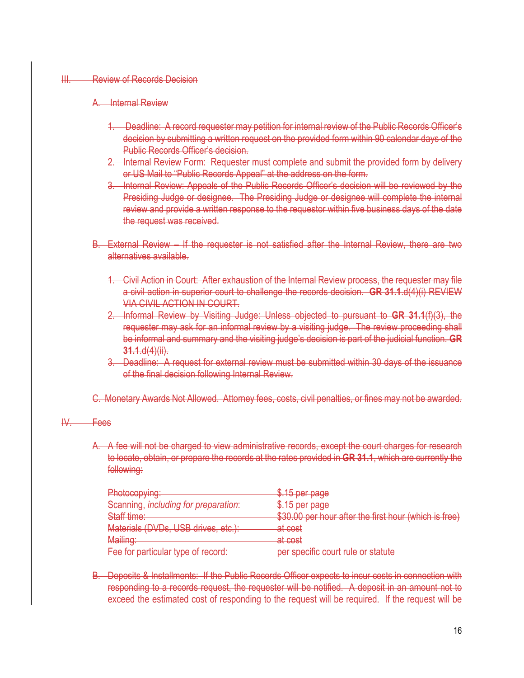### III. Review of Records Decision

#### A. Internal Review

- 1. Deadline: A record requester may petition for internal review of the Public Records Officer's decision by submitting a written request on the provided form within 90 calendar days of the Public Records Officer's decision.
- 2. Internal Review Form: Requester must complete and submit the provided form by delivery or US Mail to "Public Records Appeal" at the address on the form.
- 3. Internal Review: Appeals of the Public Records Officer's decision will be reviewed by the Presiding Judge or designee. The Presiding Judge or designee will complete the internal review and provide a written response to the requestor within five business days of the date the request was received.
- B. External Review If the requester is not satisfied after the Internal Review, there are two alternatives available.
	- 1. Civil Action in Court: After exhaustion of the Internal Review process, the requester may file a civil action in superior court to challenge the records decision. **GR 31.1**.d(4)(i) REVIEW VIA CIVIL ACTION IN COURT.
	- 2. Informal Review by Visiting Judge: Unless objected to pursuant to **GR 31.1**(f)(3), the requester may ask for an informal review by a visiting judge. The review proceeding shall be informal and summary and the visiting judge's decision is part of the judicial function. **GR 31.1**.d(4)(ii).
	- 3. Deadline: A request for external review must be submitted within 30 days of the issuance of the final decision following Internal Review.

C. Monetary Awards Not Allowed. Attorney fees, costs, civil penalties, or fines may not be awarded.

### IV. Fees

A. A fee will not be charged to view administrative records, except the court charges for research to locate, obtain, or prepare the records at the rates provided in **GR 31.1**, which are currently the following:

| Photocopying:                                | $Q$ 15 nor naga<br><del>they ided to</del>            |
|----------------------------------------------|-------------------------------------------------------|
| Scanning, <i>including for preparation</i> : | $$15$ ner nage<br><del>p. 10 por pago</del>           |
| Staff time:                                  | \$30.00 per hour after the first hour (which is free) |
| Materials (DVDs, USB drives, etc.):          | at coet<br><del>at oost</del>                         |
| Mailing:                                     | <del>at cost</del>                                    |
| Fee for particular type of record:           | per specific court rule or statute                    |

B. Deposits & Installments: If the Public Records Officer expects to incur costs in connection with responding to a records request, the requester will be notified. A deposit in an amount not to exceed the estimated cost of responding to the request will be required. If the request will be